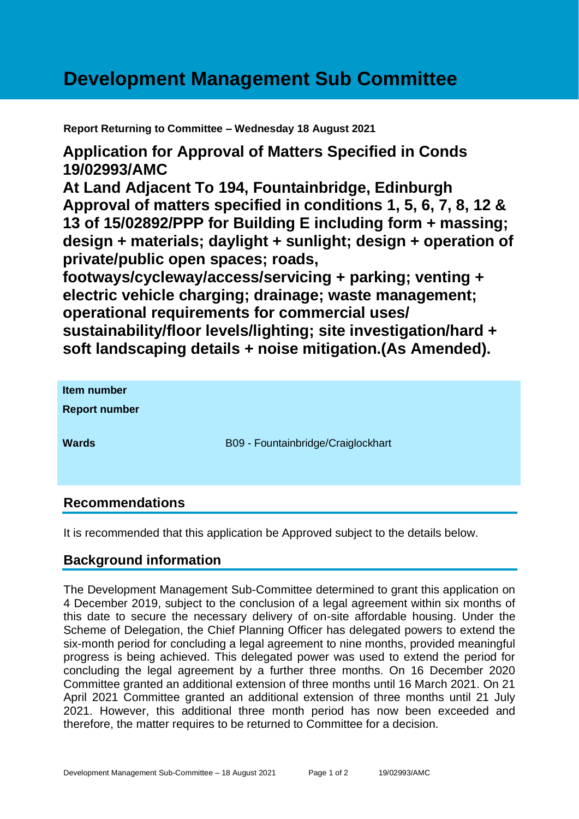# **Development Management Sub Committee**

**Report Returning to Committee – Wednesday 18 August 2021**

## **Application for Approval of Matters Specified in Conds 19/02993/AMC**

**At Land Adjacent To 194, Fountainbridge, Edinburgh Approval of matters specified in conditions 1, 5, 6, 7, 8, 12 & 13 of 15/02892/PPP for Building E including form + massing; design + materials; daylight + sunlight; design + operation of private/public open spaces; roads,** 

**footways/cycleway/access/servicing + parking; venting + electric vehicle charging; drainage; waste management; operational requirements for commercial uses/ sustainability/floor levels/lighting; site investigation/hard + soft landscaping details + noise mitigation.(As Amended).**

| Item number<br><b>Report number</b> |                                    |
|-------------------------------------|------------------------------------|
| <b>Wards</b>                        | B09 - Fountainbridge/Craiglockhart |

#### **Recommendations**

It is recommended that this application be Approved subject to the details below.

### **Background information**

The Development Management Sub-Committee determined to grant this application on 4 December 2019, subject to the conclusion of a legal agreement within six months of this date to secure the necessary delivery of on-site affordable housing. Under the Scheme of Delegation, the Chief Planning Officer has delegated powers to extend the six-month period for concluding a legal agreement to nine months, provided meaningful progress is being achieved. This delegated power was used to extend the period for concluding the legal agreement by a further three months. On 16 December 2020 Committee granted an additional extension of three months until 16 March 2021. On 21 April 2021 Committee granted an additional extension of three months until 21 July 2021. However, this additional three month period has now been exceeded and therefore, the matter requires to be returned to Committee for a decision.